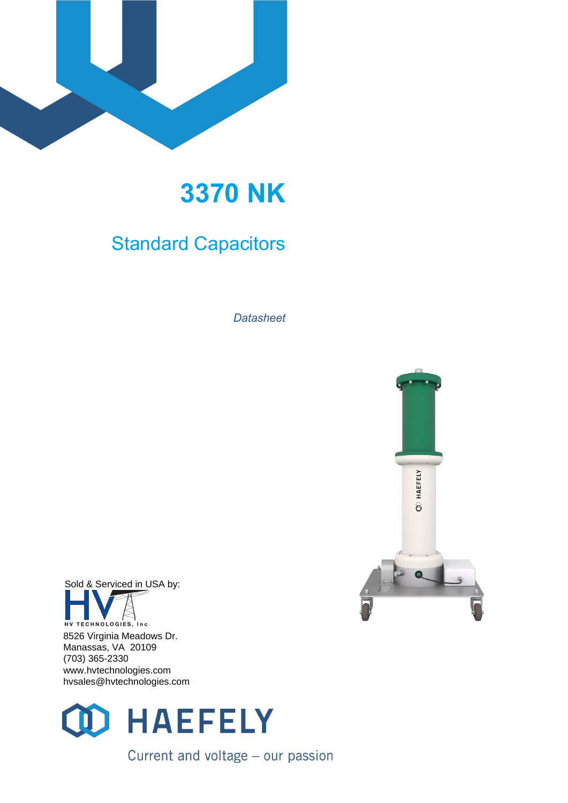

# **3370 NK**

## Standard Capacitors

*Datasheet*



Sold & Serviced in USA by: HV TECHNOLOGIES, Inc. 8526 Virginia Meadows Dr. Manassas, VA 20109 (703) 365-2330 www.hvtechnologies.com hvsales@hvtechnologies.com

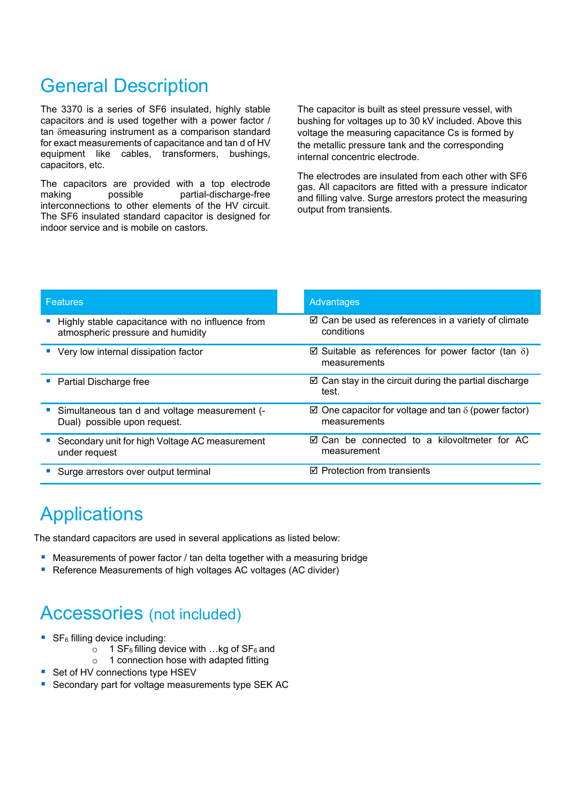### General Description

The 3370 is a series of SF6 insulated, highly stable capacitors and is used together with a power factor / tan δmeasuring instrument as a comparison standard for exact measurements of capacitance and tan d of HV equipment like cables, transformers, bushings, capacitors, etc.

The capacitors are provided with a top electrode<br>making possible partial-discharae-free making possible partial-discharge-free interconnections to other elements of the HV circuit. The SF6 insulated standard capacitor is designed for indoor service and is mobile on castors.

The capacitor is built as steel pressure vessel, with bushing for voltages up to 30 kV included. Above this voltage the measuring capacitance Cs is formed by the metallic pressure tank and the corresponding internal concentric electrode.

The electrodes are insulated from each other with SF6 gas. All capacitors are fitted with a pressure indicator and filling valve. Surge arrestors protect the measuring output from transients.

| <b>Features</b>                                                                       | Advantages                                                                            |
|---------------------------------------------------------------------------------------|---------------------------------------------------------------------------------------|
| Highly stable capacitance with no influence from<br>atmospheric pressure and humidity | $\boxtimes$ Can be used as references in a variety of climate<br>conditions           |
| • Very low internal dissipation factor                                                | $\boxtimes$ Suitable as references for power factor (tan $\delta$ )<br>measurements   |
| Partial Discharge free                                                                | $\boxtimes$ Can stay in the circuit during the partial discharge<br>test.             |
| Simultaneous tan d and voltage measurement (-<br>Dual) possible upon request.         | $\boxtimes$ One capacitor for voltage and tan $\delta$ (power factor)<br>measurements |
| Secondary unit for high Voltage AC measurement<br>under request                       | $\boxtimes$ Can be connected to a kilovoltmeter for AC<br>measurement                 |
| • Surge arrestors over output terminal                                                | $\boxtimes$ Protection from transients                                                |

### **Applications**

The standard capacitors are used in several applications as listed below:

- Measurements of power factor / tan delta together with a measuring bridge
- Reference Measurements of high voltages AC voltages (AC divider)

#### Accessories (not included)

- $\blacksquare$  SF<sub>6</sub> filling device including:
	- $\sim$  1 SF<sub>6</sub> filling device with …kg of SF<sub>6</sub> and
	- $\circ$  1 connection hose with adapted fitting
- Set of HV connections type HSEV
- Secondary part for voltage measurements type SEK AC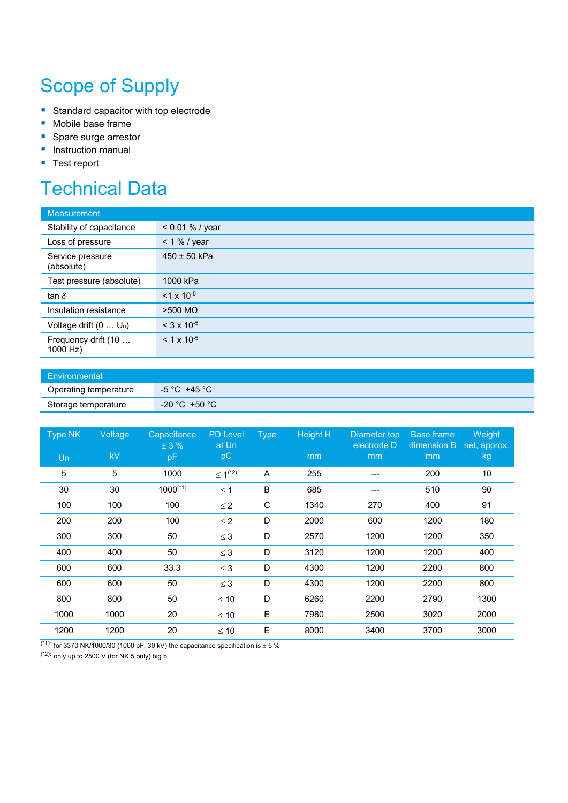# Scope of Supply

- Standard capacitor with top electrode
- **Mobile base frame**
- **Spare surge arrestor**
- **Instruction manual**
- Test report

# Technical Data

| <b>Measurement</b>              |                          |
|---------------------------------|--------------------------|
| Stability of capacitance        | $< 0.01 \%$ / year       |
| Loss of pressure                | $< 1 %$ / year           |
| Service pressure<br>(absolute)  | $450 \pm 50$ kPa         |
| Test pressure (absolute)        | 1000 kPa                 |
| tan $\delta$                    | $<$ 1 x 10 <sup>-5</sup> |
| Insulation resistance           | $>500$ ΜΩ                |
| Voltage drift $(0 \dots U_n)$   | $<$ 3 x 10 <sup>-5</sup> |
| Frequency drift (10<br>1000 Hz) | $< 1 \times 10^{-5}$     |

| Environmental         |                  |  |  |  |  |
|-----------------------|------------------|--|--|--|--|
| Operating temperature | -5 °C +45 °C     |  |  |  |  |
| Storage temperature   | $-20 °C + 50 °C$ |  |  |  |  |

| Type NK | Voltage | Capacitance<br>$\pm$ 3 % | <b>PD Level</b><br>at Un | <b>Type</b> | <b>Height H</b> | Diameter top<br>electrode D | <b>Base frame</b><br>dimension B | Weight<br>net, approx. |
|---------|---------|--------------------------|--------------------------|-------------|-----------------|-----------------------------|----------------------------------|------------------------|
| Un      | kV      | pF                       | pC                       |             | mm              | mm                          | mm                               | kg                     |
| 5       | 5       | 1000                     | $\leq 1^{(*)}$           | A           | 255             | ---                         | 200                              | 10                     |
| 30      | 30      | $1000$ <sup>(*1)</sup>   | $\leq$ 1                 | B           | 685             | ---                         | 510                              | 90                     |
| 100     | 100     | 100                      | $\leq$ 2                 | C           | 1340            | 270                         | 400                              | 91                     |
| 200     | 200     | 100                      | $\leq 2$                 | D           | 2000            | 600                         | 1200                             | 180                    |
| 300     | 300     | 50                       | $\leq$ 3                 | D           | 2570            | 1200                        | 1200                             | 350                    |
| 400     | 400     | 50                       | $\leq$ 3                 | D           | 3120            | 1200                        | 1200                             | 400                    |
| 600     | 600     | 33.3                     | $\leq$ 3                 | D           | 4300            | 1200                        | 2200                             | 800                    |
| 600     | 600     | 50                       | $\leq$ 3                 | D           | 4300            | 1200                        | 2200                             | 800                    |
| 800     | 800     | 50                       | $\leq 10$                | D           | 6260            | 2200                        | 2790                             | 1300                   |
| 1000    | 1000    | 20                       | $\leq 10$                | Е           | 7980            | 2500                        | 3020                             | 2000                   |
| 1200    | 1200    | 20                       | $\leq 10$                | E           | 8000            | 3400                        | 3700                             | 3000                   |

<sup>(\*1):</sup> for 3370 NK/1000/30 (1000 pF, 30 kV) the capacitance specification is  $\pm$  5 %

 $(2)$ : only up to 2500 V (for NK 5 only) big b